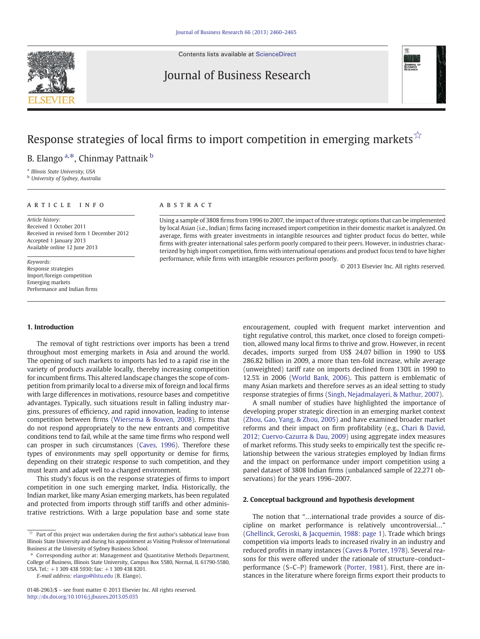Contents lists available at [ScienceDirect](http://www.sciencedirect.com/science/journal/01482963)

## Journal of Business Research



# Response strategies of local firms to import competition in emerging markets  $\hat{\mathbf{x}}$

B. Elango <sup>a,\*</sup>, Chinmay Pattnaik <sup>b</sup>

<sup>a</sup> Illinois State University, USA

**b** University of Sydney, Australia

#### article info abstract

Article history: Received 1 October 2011 Received in revised form 1 December 2012 Accepted 1 January 2013 Available online 12 June 2013

Keywords: Response strategies Import/foreign competition Emerging markets Performance and Indian firms

#### 1. Introduction

The removal of tight restrictions over imports has been a trend throughout most emerging markets in Asia and around the world. The opening of such markets to imports has led to a rapid rise in the variety of products available locally, thereby increasing competition for incumbent firms. This altered landscape changes the scope of competition from primarily local to a diverse mix of foreign and local firms with large differences in motivations, resource bases and competitive advantages. Typically, such situations result in falling industry margins, pressures of efficiency, and rapid innovation, leading to intense competition between firms [\(Wiersema & Bowen, 2008](#page--1-0)). Firms that do not respond appropriately to the new entrants and competitive conditions tend to fail, while at the same time firms who respond well can prosper in such circumstances [\(Caves, 1996](#page--1-0)). Therefore these types of environments may spell opportunity or demise for firms, depending on their strategic response to such competition, and they must learn and adapt well to a changed environment.

This study's focus is on the response strategies of firms to import competition in one such emerging market, India. Historically, the Indian market, like many Asian emerging markets, has been regulated and protected from imports through stiff tariffs and other administrative restrictions. With a large population base and some state

E-mail address: [elango@ilstu.edu](mailto:elango@ilstu.edu) (B. Elango).

Using a sample of 3808 firms from 1996 to 2007, the impact of three strategic options that can be implemented by local Asian (i.e., Indian) firms facing increased import competition in their domestic market is analyzed. On average, firms with greater investments in intangible resources and tighter product focus do better, while firms with greater international sales perform poorly compared to their peers. However, in industries characterized by high import competition, firms with international operations and product focus tend to have higher performance, while firms with intangible resources perform poorly.

© 2013 Elsevier Inc. All rights reserved.

encouragement, coupled with frequent market intervention and tight regulative control, this market, once closed to foreign competition, allowed many local firms to thrive and grow. However, in recent decades, imports surged from US\$ 24.07 billion in 1990 to US\$ 286.82 billion in 2009, a more than ten-fold increase, while average (unweighted) tariff rate on imports declined from 130% in 1990 to 12.5% in 2006 [\(World Bank, 2006](#page--1-0)). This pattern is emblematic of many Asian markets and therefore serves as an ideal setting to study response strategies of firms [\(Singh, Nejadmalayeri, & Mathur, 2007](#page--1-0)).

A small number of studies have highlighted the importance of developing proper strategic direction in an emerging market context [\(Zhou, Gao, Yang, & Zhou, 2005\)](#page--1-0) and have examined broader market reforms and their impact on firm profitability (e.g., [Chari & David,](#page--1-0) [2012; Cuervo-Cazurra & Dau, 2009](#page--1-0)) using aggregate index measures of market reforms. This study seeks to empirically test the specific relationship between the various strategies employed by Indian firms and the impact on performance under import competition using a panel dataset of 3808 Indian firms (unbalanced sample of 22,271 observations) for the years 1996–2007.

#### 2. Conceptual background and hypothesis development

The notion that "…international trade provides a source of discipline on market performance is relatively uncontroversial…" [\(Ghellinck, Geroski, & Jacquemin, 1988: page 1](#page--1-0)). Trade which brings competition via imports leads to increased rivalry in an industry and reduced profits in many instances ([Caves & Porter, 1978\)](#page--1-0). Several reasons for this were offered under the rationale of structure–conduct– performance (S–C–P) framework ([Porter, 1981](#page--1-0)). First, there are instances in the literature where foreign firms export their products to



 $\hat{X}$  Part of this project was undertaken during the first author's sabbatical leave from Illinois State University and during his appointment as Visiting Professor of International Business at the University of Sydney Business School.

<sup>⁎</sup> Corresponding author at: Management and Quantitative Methods Department, College of Business, Illinois State University, Campus Box 5580, Normal, IL 61790-5580, USA. Tel.: +1 309 438 5930; fax: +1 309 438 8201.

<sup>0148-2963/\$</sup> – see front matter © 2013 Elsevier Inc. All rights reserved. <http://dx.doi.org/10.1016/j.jbusres.2013.05.035>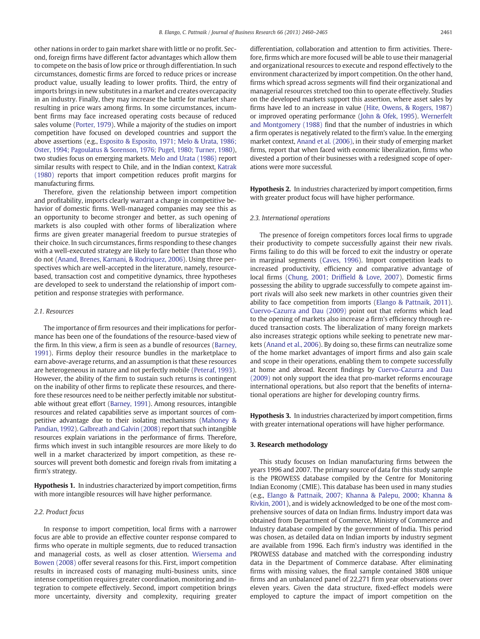other nations in order to gain market share with little or no profit. Second, foreign firms have different factor advantages which allow them to compete on the basis of low price or through differentiation. In such circumstances, domestic firms are forced to reduce prices or increase product value, usually leading to lower profits. Third, the entry of imports brings in new substitutes in a market and creates overcapacity in an industry. Finally, they may increase the battle for market share resulting in price wars among firms. In some circumstances, incumbent firms may face increased operating costs because of reduced sales volume [\(Porter, 1979\)](#page--1-0). While a majority of the studies on import competition have focused on developed countries and support the above assertions (e.g., [Esposito & Esposito, 1971; Melo & Urata, 1986;](#page--1-0) [Oster, 1994; Pagoulatus & Sorenson, 1976; Pugel, 1980; Turner, 1980](#page--1-0)), two studies focus on emerging markets. [Melo and Urata \(1986\)](#page--1-0) report similar results with respect to Chile, and in the Indian context, [Katrak](#page--1-0) [\(1980\)](#page--1-0) reports that import competition reduces profit margins for manufacturing firms.

Therefore, given the relationship between import competition and profitability, imports clearly warrant a change in competitive behavior of domestic firms. Well-managed companies may see this as an opportunity to become stronger and better, as such opening of markets is also coupled with other forms of liberalization where firms are given greater managerial freedom to pursue strategies of their choice. In such circumstances, firms responding to these changes with a well-executed strategy are likely to fare better than those who do not ([Anand, Brenes, Karnani, & Rodriquez, 2006\)](#page--1-0). Using three perspectives which are well-accepted in the literature, namely, resourcebased, transaction cost and competitive dynamics, three hypotheses are developed to seek to understand the relationship of import competition and response strategies with performance.

### 2.1. Resources

The importance of firm resources and their implications for performance has been one of the foundations of the resource-based view of the firm. In this view, a firm is seen as a bundle of resources ([Barney,](#page--1-0) [1991\)](#page--1-0). Firms deploy their resource bundles in the marketplace to earn above-average returns, and an assumption is that these resources are heterogeneous in nature and not perfectly mobile ([Peteraf, 1993](#page--1-0)). However, the ability of the firm to sustain such returns is contingent on the inability of other firms to replicate these resources, and therefore these resources need to be neither perfectly imitable nor substitutable without great effort ([Barney, 1991\)](#page--1-0). Among resources, intangible resources and related capabilities serve as important sources of competitive advantage due to their isolating mechanisms ([Mahoney &](#page--1-0) [Pandian, 1992](#page--1-0)). [Galbreath and Galvin \(2008\)](#page--1-0) report that such intangible resources explain variations in the performance of firms. Therefore, firms which invest in such intangible resources are more likely to do well in a market characterized by import competition, as these resources will prevent both domestic and foreign rivals from imitating a firm's strategy.

Hypothesis 1. In industries characterized by import competition, firms with more intangible resources will have higher performance.

#### 2.2. Product focus

In response to import competition, local firms with a narrower focus are able to provide an effective counter response compared to firms who operate in multiple segments, due to reduced transaction and managerial costs, as well as closer attention. [Wiersema and](#page--1-0) [Bowen \(2008\)](#page--1-0) offer several reasons for this. First, import competition results in increased costs of managing multi-business units, since intense competition requires greater coordination, monitoring and integration to compete effectively. Second, import competition brings more uncertainty, diversity and complexity, requiring greater differentiation, collaboration and attention to firm activities. Therefore, firms which are more focused will be able to use their managerial and organizational resources to execute and respond effectively to the environment characterized by import competition. On the other hand, firms which spread across segments will find their organizational and managerial resources stretched too thin to operate effectively. Studies on the developed markets support this assertion, where asset sales by firms have led to an increase in value ([Hite, Owens, & Rogers, 1987](#page--1-0)) or improved operating performance ([John & Ofek, 1995](#page--1-0)). [Wernerfelt](#page--1-0) [and Montgomery \(1988\)](#page--1-0) find that the number of industries in which a firm operates is negatively related to the firm's value. In the emerging market context, [Anand et al. \(2006\)](#page--1-0), in their study of emerging market firms, report that when faced with economic liberalization, firms who divested a portion of their businesses with a redesigned scope of operations were more successful.

Hypothesis 2. In industries characterized by import competition, firms with greater product focus will have higher performance.

#### 2.3. International operations

The presence of foreign competitors forces local firms to upgrade their productivity to compete successfully against their new rivals. Firms failing to do this will be forced to exit the industry or operate in marginal segments [\(Caves, 1996\)](#page--1-0). Import competition leads to increased productivity, efficiency and comparative advantage of local firms ([Chung, 2001; Drif](#page--1-0)field & Love, 2007). Domestic firms possessing the ability to upgrade successfully to compete against import rivals will also seek new markets in other countries given their ability to face competition from imports [\(Elango & Pattnaik, 2011](#page--1-0)). [Cuervo-Cazurra and Dau \(2009\)](#page--1-0) point out that reforms which lead to the opening of markets also increase a firm's efficiency through reduced transaction costs. The liberalization of many foreign markets also increases strategic options while seeking to penetrate new markets ([Anand et al., 2006](#page--1-0)). By doing so, these firms can neutralize some of the home market advantages of import firms and also gain scale and scope in their operations, enabling them to compete successfully at home and abroad. Recent findings by [Cuervo-Cazurra and Dau](#page--1-0) [\(2009\)](#page--1-0) not only support the idea that pro-market reforms encourage international operations, but also report that the benefits of international operations are higher for developing country firms.

Hypothesis 3. In industries characterized by import competition, firms with greater international operations will have higher performance.

#### 3. Research methodology

This study focuses on Indian manufacturing firms between the years 1996 and 2007. The primary source of data for this study sample is the PROWESS database compiled by the Centre for Monitoring Indian Economy (CMIE). This database has been used in many studies (e.g., [Elango & Pattnaik, 2007; Khanna & Palepu, 2000; Khanna &](#page--1-0) [Rivkin, 2001](#page--1-0)), and is widely acknowledged to be one of the most comprehensive sources of data on Indian firms. Industry import data was obtained from Department of Commerce, Ministry of Commerce and Industry database compiled by the government of India. This period was chosen, as detailed data on Indian imports by industry segment are available from 1996. Each firm's industry was identified in the PROWESS database and matched with the corresponding industry data in the Department of Commerce database. After eliminating firms with missing values, the final sample contained 3808 unique firms and an unbalanced panel of 22,271 firm year observations over eleven years. Given the data structure, fixed-effect models were employed to capture the impact of import competition on the